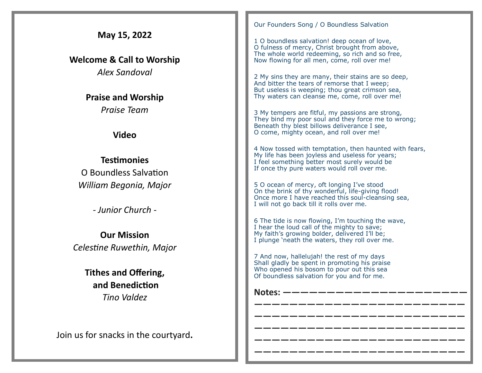| May 15, 2022                                    | Our Founders Song / O Boundless Salvation<br>1 O boundless salvation! deep ocean of love,<br>O fulness of mercy, Christ brought from above,                                                              |
|-------------------------------------------------|----------------------------------------------------------------------------------------------------------------------------------------------------------------------------------------------------------|
| <b>Welcome &amp; Call to Worship</b>            | The whole world redeeming, so rich and so free,<br>Now flowing for all men, come, roll over me!                                                                                                          |
| <b>Alex Sandoval</b>                            | 2 My sins they are many, their stains are so deep,<br>And bitter the tears of remorse that I weep;                                                                                                       |
| <b>Praise and Worship</b>                       | But useless is weeping; thou great crimson sea,<br>Thy waters can cleanse me, come, roll over me!                                                                                                        |
| Praise Team<br><b>Video</b>                     | 3 My tempers are fitful, my passions are strong,<br>They bind my poor soul and they force me to wrong;<br>Beneath thy blest billows deliverance I see,<br>O come, mighty ocean, and roll over me!        |
| <b>Testimonies</b><br>O Boundless Salvation     | 4 Now tossed with temptation, then haunted with fears,<br>My life has been joyless and useless for years;<br>I feel something better most surely would be<br>If once thy pure waters would roll over me. |
| William Begonia, Major                          | 5 O ocean of mercy, oft longing I've stood<br>On the brink of thy wonderful, life-giving flood!<br>Once more I have reached this soul-cleansing sea,                                                     |
| - Junior Church -                               | I will not go back till it rolls over me.<br>6 The tide is now flowing, I'm touching the wave,                                                                                                           |
| <b>Our Mission</b><br>Celestine Ruwethin, Major | I hear the loud call of the mighty to save;<br>My faith's growing bolder, delivered I'll be;<br>I plunge 'neath the waters, they roll over me.                                                           |
| <b>Tithes and Offering,</b>                     | 7 And now, hallelujah! the rest of my days<br>Shall gladly be spent in promoting his praise<br>Who opened his bosom to pour out this sea<br>Of boundless salvation for you and for me.                   |
| and Benediction<br><b>Tino Valdez</b>           | _________________<br><b>Notes:</b>                                                                                                                                                                       |
| Join us for snacks in the courtyard.            |                                                                                                                                                                                                          |